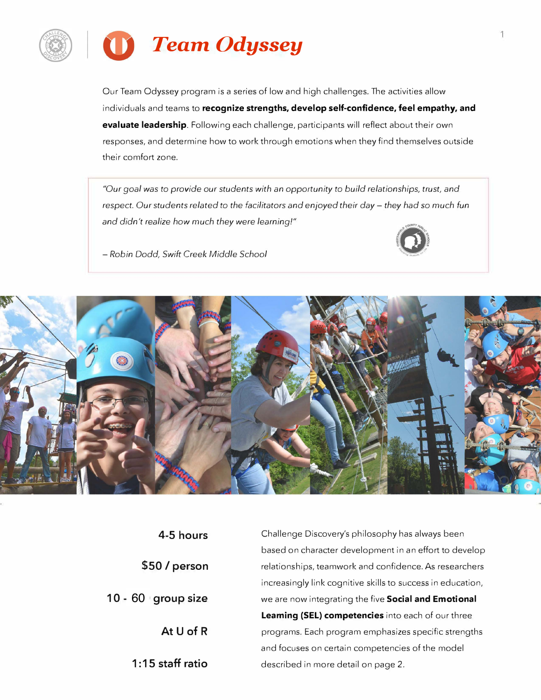

Our Team Odyssey program is a series of low and high challenges. The activities allow individuals and teams to **recognize strengths, develop self-confidence, feel empathy, and evaluate leadership.** Following each challenge, participants will reflect about their own responses, and determine how to work through emotions when they find themselves outside their comfort zone.

*"Our goal was* to *provide our students with an opportunity* to *build relationships, trust, and respect. Our students related to the facilitators and enjoyed their day – they had so much fun and didn't realize how much they were learning!"* 



- *Robin Dodd, Swift Creek Middle School*



| 4-5 hours          |
|--------------------|
| \$50 / person      |
| 10 - 60 group size |
| At $U$ of R        |
| $1:15$ staff ratio |

Challenge Discovery's philosophy has always been based on character development in an effort to develop relationships, teamwork and confidence. As researchers increasingly link cognitive skills to success in education, we are now integrating the five **Social and Emotional Learning (SEL) competencies** into each of our three programs. Each program emphasizes specific strengths and focuses on certain competencies of the model described in more detail on page 2.